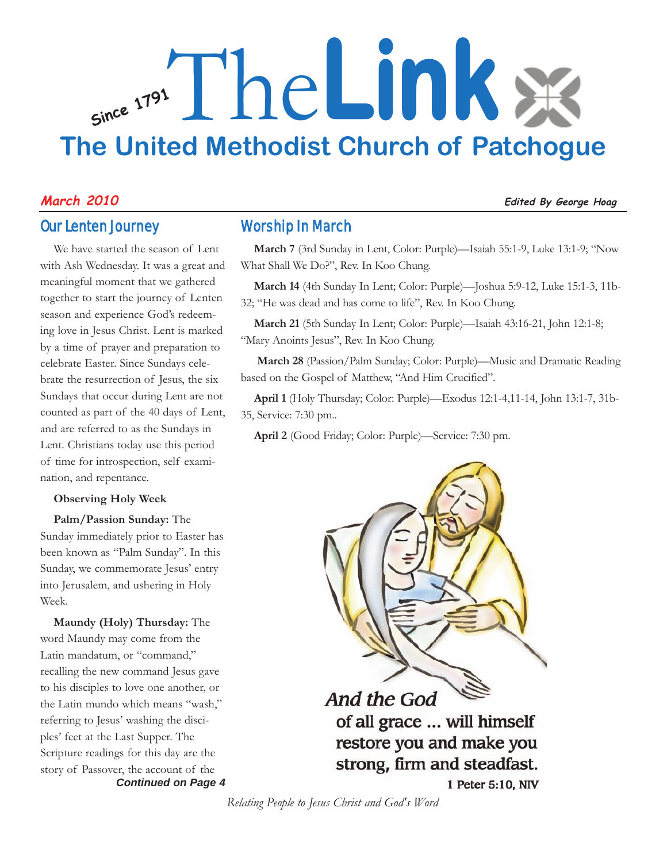# **Since <sup>1791</sup>** The**Link The United Methodist Church of Patchogue**

#### Our Lenten Journey

We have started the season of Lent with Ash Wednesday. It was a great and meaningful moment that we gathered together to start the journey of Lenten season and experience God's redeeming love in Jesus Christ. Lent is marked by a time of prayer and preparation to celebrate Easter. Since Sundays celebrate the resurrection of Jesus, the six Sundays that occur during Lent are not counted as part of the 40 days of Lent, and are referred to as the Sundays in Lent. Christians today use this period of time for introspection, self examination, and repentance.

#### **Observing Holy Week**

**Palm/Passion Sunday:** The Sunday immediately prior to Easter has been known as "Palm Sunday". In this Sunday, we commemorate Jesus' entry into Jerusalem, and ushering in Holy Week.

*Continued on Page 4* **Maundy (Holy) Thursday:** The word Maundy may come from the Latin mandatum, or "command," recalling the new command Jesus gave to his disciples to love one another, or the Latin mundo which means "wash," referring to Jesus' washing the disciples' feet at the Last Supper. The Scripture readings for this day are the story of Passover, the account of the

#### Worship In March

**March 7** (3rd Sunday in Lent, Color: Purple)—Isaiah 55:1-9, Luke 13:1-9; "Now What Shall We Do?", Rev. In Koo Chung.

**March 14** (4th Sunday In Lent; Color: Purple)—Joshua 5:9-12, Luke 15:1-3, 11b-32; "He was dead and has come to life", Rev. In Koo Chung.

**March 21** (5th Sunday In Lent; Color: Purple)—Isaiah 43:16-21, John 12:1-8; "Mary Anoints Jesus", Rev. In Koo Chung.

**March 28** (Passion/Palm Sunday; Color: Purple)—Music and Dramatic Reading based on the Gospel of Matthew, "And Him Crucified".

**April 1** (Holy Thursday; Color: Purple)—Exodus 12:1-4,11-14, John 13:1-7, 31b-35, Service: 7:30 pm..

**April 2** (Good Friday; Color: Purple)—Service: 7:30 pm.



#### **March 2010 Edited By George Hoag**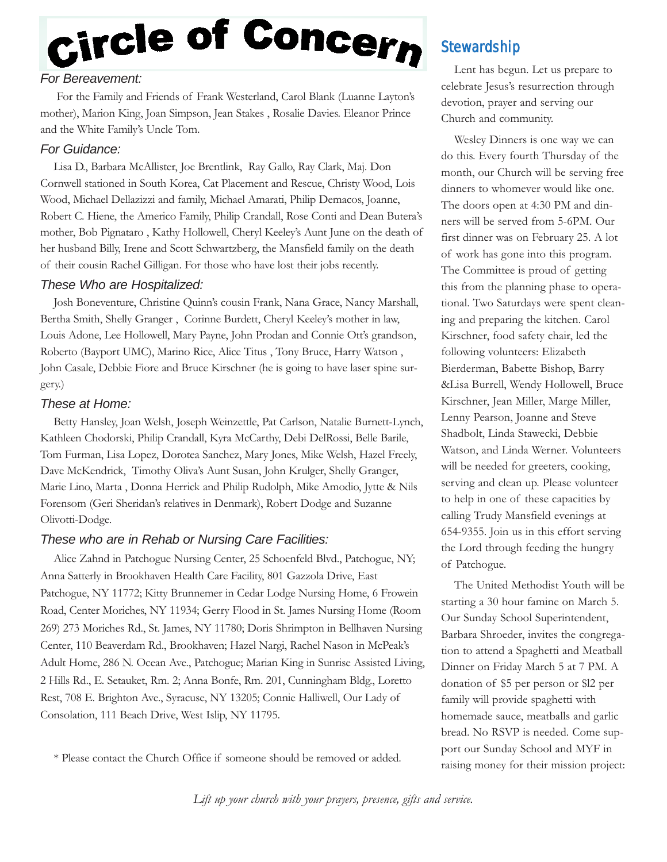# Circle of Concern

#### *For Bereavement:*

For the Family and Friends of Frank Westerland, Carol Blank (Luanne Layton's mother), Marion King, Joan Simpson, Jean Stakes , Rosalie Davies. Eleanor Prince and the White Family's Uncle Tom.

#### *For Guidance:*

Lisa D., Barbara McAllister, Joe Brentlink, Ray Gallo, Ray Clark, Maj. Don Cornwell stationed in South Korea, Cat Placement and Rescue, Christy Wood, Lois Wood, Michael Dellazizzi and family, Michael Amarati, Philip Demacos, Joanne, Robert C. Hiene, the Americo Family, Philip Crandall, Rose Conti and Dean Butera's mother, Bob Pignataro , Kathy Hollowell, Cheryl Keeley's Aunt June on the death of her husband Billy, Irene and Scott Schwartzberg, the Mansfield family on the death of their cousin Rachel Gilligan. For those who have lost their jobs recently.

#### *These Who are Hospitalized:*

Josh Boneventure, Christine Quinn's cousin Frank, Nana Grace, Nancy Marshall, Bertha Smith, Shelly Granger , Corinne Burdett, Cheryl Keeley's mother in law, Louis Adone, Lee Hollowell, Mary Payne, John Prodan and Connie Ott's grandson, Roberto (Bayport UMC), Marino Rice, Alice Titus , Tony Bruce, Harry Watson , John Casale, Debbie Fiore and Bruce Kirschner (he is going to have laser spine surgery.)

#### *These at Home:*

Betty Hansley, Joan Welsh, Joseph Weinzettle, Pat Carlson, Natalie Burnett-Lynch, Kathleen Chodorski, Philip Crandall, Kyra McCarthy, Debi DelRossi, Belle Barile, Tom Furman, Lisa Lopez, Dorotea Sanchez, Mary Jones, Mike Welsh, Hazel Freely, Dave McKendrick, Timothy Oliva's Aunt Susan, John Krulger, Shelly Granger, Marie Lino, Marta , Donna Herrick and Philip Rudolph, Mike Amodio, Jytte & Nils Forensom (Geri Sheridan's relatives in Denmark), Robert Dodge and Suzanne Olivotti-Dodge.

#### *These who are in Rehab or Nursing Care Facilities:*

Alice Zahnd in Patchogue Nursing Center, 25 Schoenfeld Blvd., Patchogue, NY; Anna Satterly in Brookhaven Health Care Facility, 801 Gazzola Drive, East Patchogue, NY 11772; Kitty Brunnemer in Cedar Lodge Nursing Home, 6 Frowein Road, Center Moriches, NY 11934; Gerry Flood in St. James Nursing Home (Room 269) 273 Moriches Rd., St. James, NY 11780; Doris Shrimpton in Bellhaven Nursing Center, 110 Beaverdam Rd., Brookhaven; Hazel Nargi, Rachel Nason in McPeak's Adult Home, 286 N. Ocean Ave., Patchogue; Marian King in Sunrise Assisted Living, 2 Hills Rd., E. Setauket, Rm. 2; Anna Bonfe, Rm. 201, Cunningham Bldg., Loretto Rest, 708 E. Brighton Ave., Syracuse, NY 13205; Connie Halliwell, Our Lady of Consolation, 111 Beach Drive, West Islip, NY 11795.

\* Please contact the Church Office if someone should be removed or added.

#### **Stewardship**

Lent has begun. Let us prepare to celebrate Jesus's resurrection through devotion, prayer and serving our Church and community.

Wesley Dinners is one way we can do this. Every fourth Thursday of the month, our Church will be serving free dinners to whomever would like one. The doors open at 4:30 PM and dinners will be served from 5-6PM. Our first dinner was on February 25. A lot of work has gone into this program. The Committee is proud of getting this from the planning phase to operational. Two Saturdays were spent cleaning and preparing the kitchen. Carol Kirschner, food safety chair, led the following volunteers: Elizabeth Bierderman, Babette Bishop, Barry &Lisa Burrell, Wendy Hollowell, Bruce Kirschner, Jean Miller, Marge Miller, Lenny Pearson, Joanne and Steve Shadbolt, Linda Stawecki, Debbie Watson, and Linda Werner. Volunteers will be needed for greeters, cooking, serving and clean up. Please volunteer to help in one of these capacities by calling Trudy Mansfield evenings at 654-9355. Join us in this effort serving the Lord through feeding the hungry of Patchogue.

The United Methodist Youth will be starting a 30 hour famine on March 5. Our Sunday School Superintendent, Barbara Shroeder, invites the congregation to attend a Spaghetti and Meatball Dinner on Friday March 5 at 7 PM. A donation of \$5 per person or \$l2 per family will provide spaghetti with homemade sauce, meatballs and garlic bread. No RSVP is needed. Come support our Sunday School and MYF in raising money for their mission project:

*Lift up your church with your prayers, presence, gifts and service.*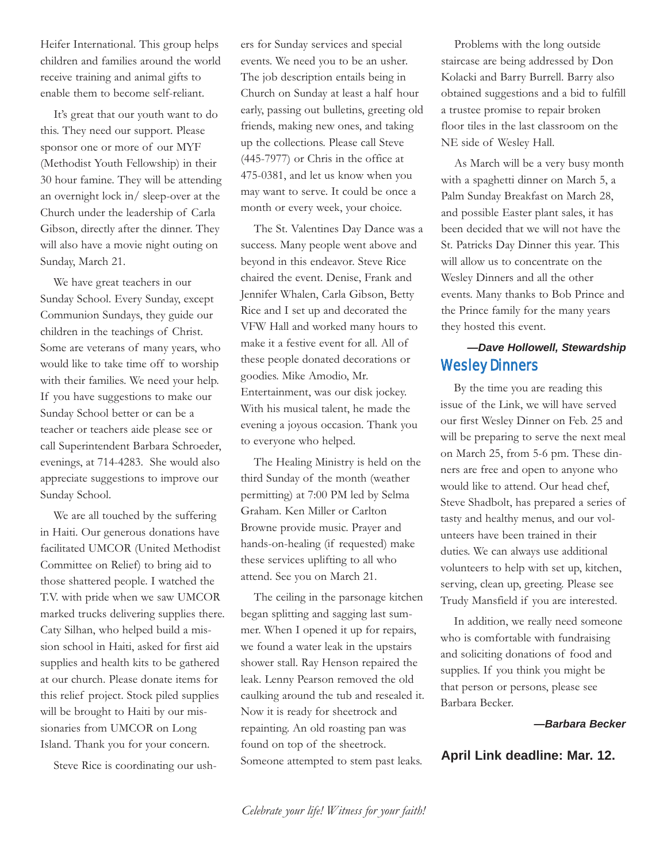Heifer International. This group helps children and families around the world receive training and animal gifts to enable them to become self-reliant.

It's great that our youth want to do this. They need our support. Please sponsor one or more of our MYF (Methodist Youth Fellowship) in their 30 hour famine. They will be attending an overnight lock in/ sleep-over at the Church under the leadership of Carla Gibson, directly after the dinner. They will also have a movie night outing on Sunday, March 21.

We have great teachers in our Sunday School. Every Sunday, except Communion Sundays, they guide our children in the teachings of Christ. Some are veterans of many years, who would like to take time off to worship with their families. We need your help. If you have suggestions to make our Sunday School better or can be a teacher or teachers aide please see or call Superintendent Barbara Schroeder, evenings, at 714-4283. She would also appreciate suggestions to improve our Sunday School.

We are all touched by the suffering in Haiti. Our generous donations have facilitated UMCOR (United Methodist Committee on Relief) to bring aid to those shattered people. I watched the T.V. with pride when we saw UMCOR marked trucks delivering supplies there. Caty Silhan, who helped build a mission school in Haiti, asked for first aid supplies and health kits to be gathered at our church. Please donate items for this relief project. Stock piled supplies will be brought to Haiti by our missionaries from UMCOR on Long Island. Thank you for your concern.

Steve Rice is coordinating our ush-

ers for Sunday services and special events. We need you to be an usher. The job description entails being in Church on Sunday at least a half hour early, passing out bulletins, greeting old friends, making new ones, and taking up the collections. Please call Steve (445-7977) or Chris in the office at 475-0381, and let us know when you may want to serve. It could be once a month or every week, your choice.

The St. Valentines Day Dance was a success. Many people went above and beyond in this endeavor. Steve Rice chaired the event. Denise, Frank and Jennifer Whalen, Carla Gibson, Betty Rice and I set up and decorated the VFW Hall and worked many hours to make it a festive event for all. All of these people donated decorations or goodies. Mike Amodio, Mr. Entertainment, was our disk jockey. With his musical talent, he made the evening a joyous occasion. Thank you to everyone who helped.

The Healing Ministry is held on the third Sunday of the month (weather permitting) at 7:00 PM led by Selma Graham. Ken Miller or Carlton Browne provide music. Prayer and hands-on-healing (if requested) make these services uplifting to all who attend. See you on March 21.

The ceiling in the parsonage kitchen began splitting and sagging last summer. When I opened it up for repairs, we found a water leak in the upstairs shower stall. Ray Henson repaired the leak. Lenny Pearson removed the old caulking around the tub and resealed it. Now it is ready for sheetrock and repainting. An old roasting pan was found on top of the sheetrock. Someone attempted to stem past leaks.

Problems with the long outside staircase are being addressed by Don Kolacki and Barry Burrell. Barry also obtained suggestions and a bid to fulfill a trustee promise to repair broken floor tiles in the last classroom on the NE side of Wesley Hall.

As March will be a very busy month with a spaghetti dinner on March 5, a Palm Sunday Breakfast on March 28, and possible Easter plant sales, it has been decided that we will not have the St. Patricks Day Dinner this year. This will allow us to concentrate on the Wesley Dinners and all the other events. Many thanks to Bob Prince and the Prince family for the many years they hosted this event.

#### Wesley Dinners *—Dave Hollowell, Stewardship*

By the time you are reading this issue of the Link, we will have served our first Wesley Dinner on Feb. 25 and will be preparing to serve the next meal on March 25, from 5-6 pm. These dinners are free and open to anyone who would like to attend. Our head chef, Steve Shadbolt, has prepared a series of tasty and healthy menus, and our volunteers have been trained in their duties. We can always use additional volunteers to help with set up, kitchen, serving, clean up, greeting. Please see Trudy Mansfield if you are interested.

In addition, we really need someone who is comfortable with fundraising and soliciting donations of food and supplies. If you think you might be that person or persons, please see Barbara Becker.

#### *—Barbara Becker*

#### **April Link deadline: Mar. 12.**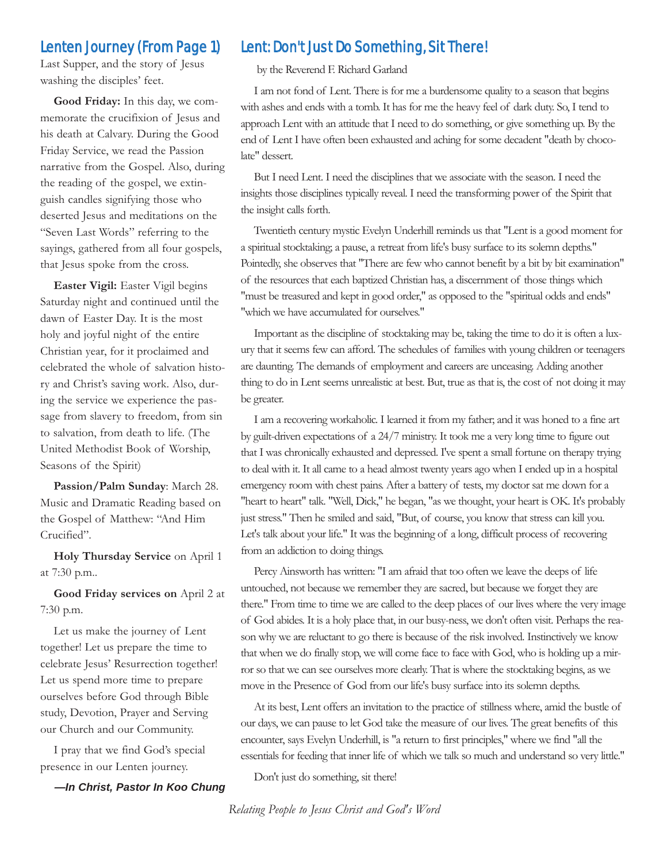#### Lenten Journey (From Page 1)

Last Supper, and the story of Jesus washing the disciples' feet.

**Good Friday:** In this day, we commemorate the crucifixion of Jesus and his death at Calvary. During the Good Friday Service, we read the Passion narrative from the Gospel. Also, during the reading of the gospel, we extinguish candles signifying those who deserted Jesus and meditations on the "Seven Last Words" referring to the sayings, gathered from all four gospels, that Jesus spoke from the cross.

**Easter Vigil:** Easter Vigil begins Saturday night and continued until the dawn of Easter Day. It is the most holy and joyful night of the entire Christian year, for it proclaimed and celebrated the whole of salvation history and Christ's saving work. Also, during the service we experience the passage from slavery to freedom, from sin to salvation, from death to life. (The United Methodist Book of Worship, Seasons of the Spirit)

**Passion/Palm Sunday**: March 28. Music and Dramatic Reading based on the Gospel of Matthew: "And Him Crucified".

**Holy Thursday Service** on April 1 at 7:30 p.m..

**Good Friday services on** April 2 at 7:30 p.m.

Let us make the journey of Lent together! Let us prepare the time to celebrate Jesus' Resurrection together! Let us spend more time to prepare ourselves before God through Bible study, Devotion, Prayer and Serving our Church and our Community.

I pray that we find God's special presence in our Lenten journey.

*—In Christ, Pastor In Koo Chung*

#### Lent: Don't Just Do Something, Sit There!

by the Reverend F. Richard Garland

I am not fond of Lent. There is for me a burdensome quality to a season that begins with ashes and ends with a tomb. It has for me the heavy feel of dark duty. So, I tend to approach Lent with an attitude that I need to do something, or give something up. By the end of Lent I have often been exhausted and aching for some decadent "death by chocolate" dessert.

But I need Lent. I need the disciplines that we associate with the season. I need the insights those disciplines typically reveal. I need the transforming power of the Spirit that the insight calls forth.

Twentieth century mystic Evelyn Underhill reminds us that "Lent is a good moment for a spiritual stocktaking; a pause, a retreat from life's busy surface to its solemn depths." Pointedly, she observes that "There are few who cannot benefit by a bit by bit examination" of the resources that each baptized Christian has, a discernment of those things which "must be treasured and kept in good order," as opposed to the "spiritual odds and ends" "which we have accumulated for ourselves."

Important as the discipline of stocktaking may be, taking the time to do it is often a luxury that it seems few can afford. The schedules of families with young children or teenagers are daunting. The demands of employment and careers are unceasing. Adding another thing to do in Lent seems unrealistic at best. But, true as that is, the cost of not doing it may be greater.

I am a recovering workaholic. I learned it from my father; and it was honed to a fine art by guilt-driven expectations of a 24/7 ministry. It took me a very long time to figure out that I was chronically exhausted and depressed. I've spent a small fortune on therapy trying to deal with it. It all came to a head almost twenty years ago when I ended up in a hospital emergency room with chest pains. After a battery of tests, my doctor sat me down for a "heart to heart" talk. "Well, Dick," he began, "as we thought, your heart is OK. It's probably just stress." Then he smiled and said, "But, of course, you know that stress can kill you. Let's talk about your life." It was the beginning of a long, difficult process of recovering from an addiction to doing things.

Percy Ainsworth has written: "I am afraid that too often we leave the deeps of life untouched, not because we remember they are sacred, but because we forget they are there." From time to time we are called to the deep places of our lives where the very image of God abides. It is a holy place that, in our busy-ness, we don't often visit. Perhaps the reason why we are reluctant to go there is because of the risk involved. Instinctively we know that when we do finally stop, we will come face to face with God, who is holding up a mirror so that we can see ourselves more clearly. That is where the stocktaking begins, as we move in the Presence of God from our life's busy surface into its solemn depths.

At its best, Lent offers an invitation to the practice of stillness where, amid the bustle of our days, we can pause to let God take the measure of our lives. The great benefits of this encounter, says Evelyn Underhill, is "a return to first principles," where we find "all the essentials for feeding that inner life of which we talk so much and understand so very little."

Don't just do something, sit there!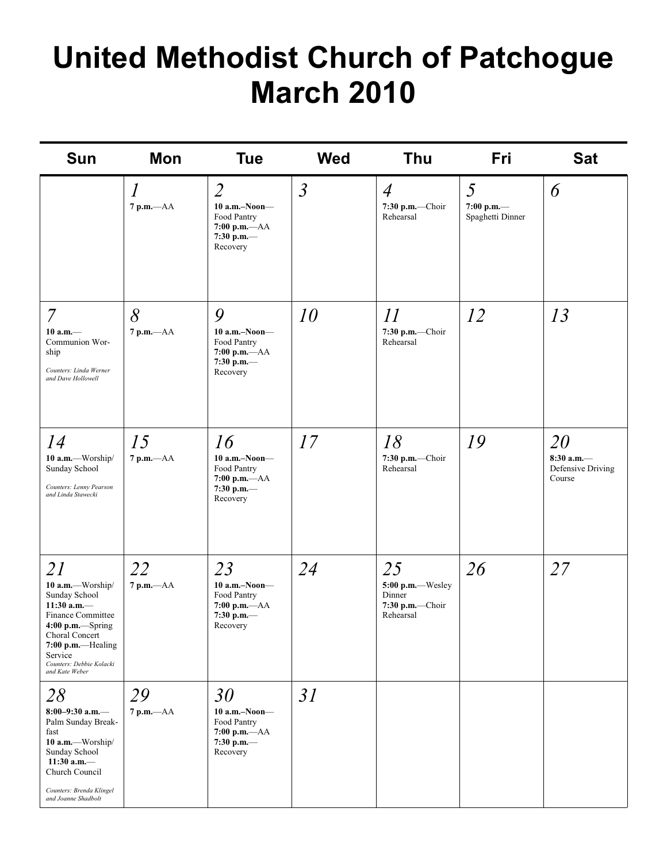# **United Methodist Church of Patchogue March 2010**

| <b>Sun</b>                                                                                                                                                                                             | <b>Mon</b>                                    | <b>Tue</b>                                                                                       | <b>Wed</b>     | Thu                                                               | <b>Fri</b>                          | <b>Sat</b>                                        |
|--------------------------------------------------------------------------------------------------------------------------------------------------------------------------------------------------------|-----------------------------------------------|--------------------------------------------------------------------------------------------------|----------------|-------------------------------------------------------------------|-------------------------------------|---------------------------------------------------|
|                                                                                                                                                                                                        | $\mathcal{I}_{\mathcal{I}}$<br>$7$ p.m. $-AA$ | $\overline{2}$<br>$10$ a.m.-Noon-<br>Food Pantry<br>$7:00 p.m. -AA$<br>7:30 p.m. $-$<br>Recovery | $\mathfrak{Z}$ | $\overline{4}$<br>7:30 p.m.-Choir<br>Rehearsal                    | 5<br>7:00 p.m.—<br>Spaghetti Dinner | 6                                                 |
| $\overline{7}$<br>$10 a.m.$ —<br>Communion Wor-<br>ship<br>Counters: Linda Werner<br>and Dave Hollowell                                                                                                | 8<br>$7$ p.m. $-AA$                           | 9<br>$10$ a.m.–Noon–<br>Food Pantry<br>7:00 p.m.-AA<br>7:30 p.m. $-$<br>Recovery                 | 10             | 11<br>7:30 p.m.-Choir<br>Rehearsal                                | 12                                  | 13                                                |
| 14<br>10 a.m.-Worship/<br>Sunday School<br>Counters: Lenny Pearson<br>and Linda Stawecki                                                                                                               | 15<br>$7$ p.m. $-AA$                          | 16<br>$10$ a.m.-Noon-<br>Food Pantry<br>$7:00$ p.m.- $AA$<br>7:30 p.m.-<br>Recovery              | 17             | 18<br>7:30 p.m.-Choir<br>Rehearsal                                | 19                                  | 20<br>$8:30$ a.m.-<br>Defensive Driving<br>Course |
| 21<br>10 a.m.-Worship/<br>Sunday School<br>11:30 a.m. $-$<br>Finance Committee<br>$4:00$ p.m.-Spring<br>Choral Concert<br>$7:00$ p.m.—Healing<br>Service<br>Counters: Debbie Kolacki<br>and Kate Weber | 22<br>$7 p.m. -AA$                            | 23<br>$10$ a.m.-Noon-<br>Food Pantry<br>$7:00$ p.m. $-AA$<br>7:30 p.m.—<br>Recovery              | 24             | 25<br>5:00 p.m.--Wesley<br>Dinner<br>7:30 p.m.-Choir<br>Rehearsal | 26                                  | 27                                                |
| 28<br>8:00-9:30 a.m.-<br>Palm Sunday Break-<br>fast<br>10 a.m.-Worship/<br>Sunday School<br>11:30 a.m. $-$<br>Church Council<br>Counters: Brenda Klingel<br>and Joanne Shadbolt                        | 29<br>$7 p.m. -AA$                            | 30<br>$10$ a.m.-Noon-<br>Food Pantry<br>$7:00$ p.m.- $AA$<br>7:30 p.m. $-$<br>Recovery           | 31             |                                                                   |                                     |                                                   |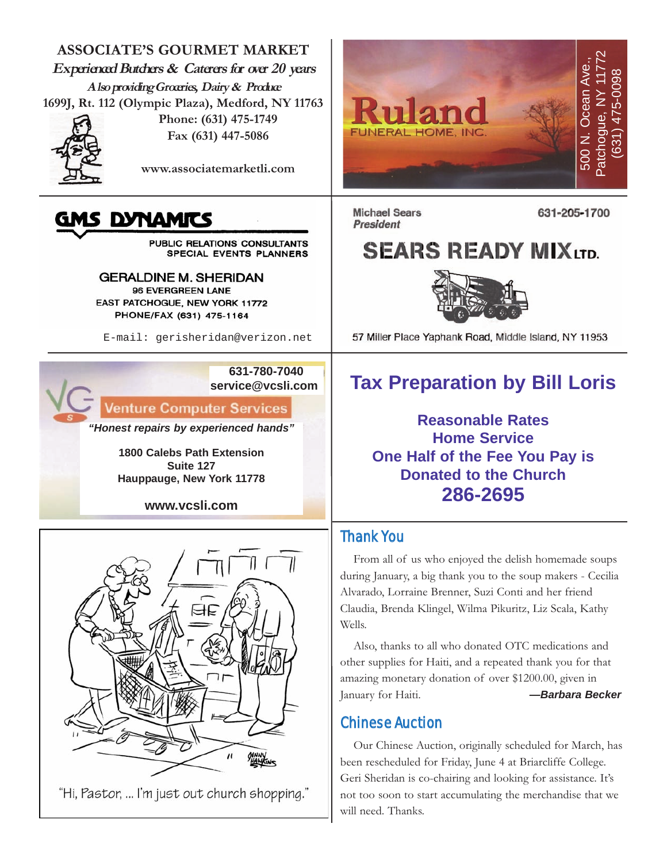**ASSOCIATE'S GOURMET MARKET Experienced Butchers & Caterers for over 20 years Also providing Groceries, Dairy & Produce 1699J, Rt. 112 (Olympic Plaza), Medford, NY 11763**



**Phone: (631) 475-1749 Fax (631) 447-5086**

**www.associatemarketli.com**

### IS DYNAMITS

PUBLIC RELATIONS CONSULTANTS SPECIAL EVENTS PLANNERS

**GERALDINE M. SHERIDAN** 96 EVERGREEN LANE EAST PATCHOGUE, NEW YORK 11772 PHONE/FAX (631) 475-1164

E-mail: gerisheridan@verizon.net

**631-780-7040 service@vcsli.com**

**Venture Computer Services** 

*"Honest repairs by experienced hands"*

**1800 Calebs Path Extension Suite 127 Hauppauge, New York 11778**

**www.vcsli.com**



"Hi, Pastor, ... I'm just out church shopping."



**Michael Sears** President

631-205-1700

## **SEARS READY MIXLTD.**



57 Miller Place Yaphank Road, Middle Island, NY 11953

## **Tax Preparation by Bill Loris**

**Reasonable Rates Home Service One Half of the Fee You Pay is Donated to the Church 286-2695**

#### Thank You

From all of us who enjoyed the delish homemade soups during January, a big thank you to the soup makers - Cecilia Alvarado, Lorraine Brenner, Suzi Conti and her friend Claudia, Brenda Klingel, Wilma Pikuritz, Liz Scala, Kathy Wells.

Also, thanks to all who donated OTC medications and other supplies for Haiti, and a repeated thank you for that amazing monetary donation of over \$1200.00, given in January for Haiti. *—Barbara Becker*

#### Chinese Auction

Our Chinese Auction, originally scheduled for March, has been rescheduled for Friday, June 4 at Briarcliffe College. Geri Sheridan is co-chairing and looking for assistance. It's not too soon to start accumulating the merchandise that we will need. Thanks.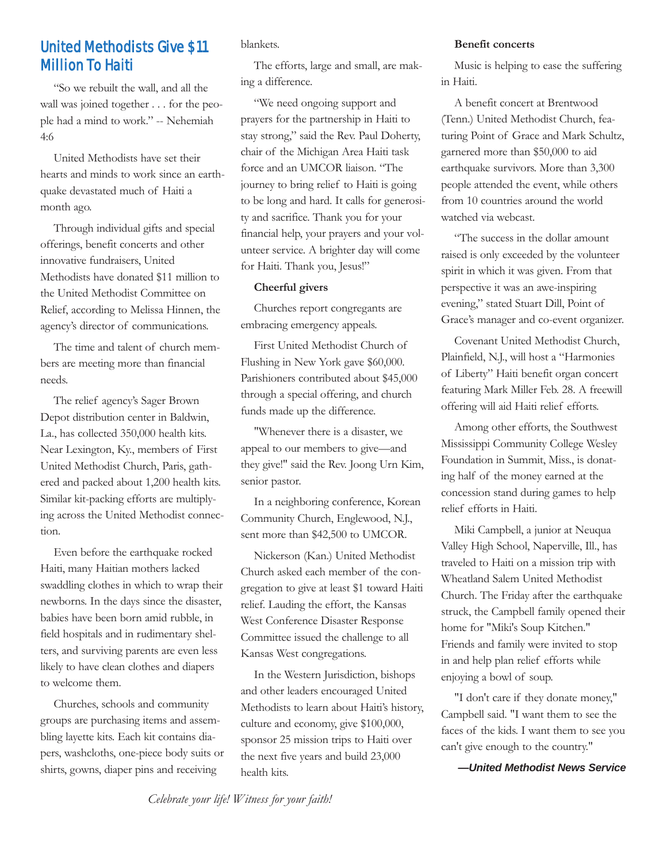#### United Methodists Give \$11 Million To Haiti

"So we rebuilt the wall, and all the wall was joined together . . . for the people had a mind to work." -- Nehemiah 4:6

United Methodists have set their hearts and minds to work since an earthquake devastated much of Haiti a month ago.

Through individual gifts and special offerings, benefit concerts and other innovative fundraisers, United Methodists have donated \$11 million to the United Methodist Committee on Relief, according to Melissa Hinnen, the agency's director of communications.

The time and talent of church members are meeting more than financial needs.

The relief agency's Sager Brown Depot distribution center in Baldwin, La., has collected 350,000 health kits. Near Lexington, Ky., members of First United Methodist Church, Paris, gathered and packed about 1,200 health kits. Similar kit-packing efforts are multiplying across the United Methodist connection.

Even before the earthquake rocked Haiti, many Haitian mothers lacked swaddling clothes in which to wrap their newborns. In the days since the disaster, babies have been born amid rubble, in field hospitals and in rudimentary shelters, and surviving parents are even less likely to have clean clothes and diapers to welcome them.

Churches, schools and community groups are purchasing items and assembling layette kits. Each kit contains diapers, washcloths, one-piece body suits or shirts, gowns, diaper pins and receiving

blankets.

The efforts, large and small, are making a difference.

"We need ongoing support and prayers for the partnership in Haiti to stay strong," said the Rev. Paul Doherty, chair of the Michigan Area Haiti task force and an UMCOR liaison. "The journey to bring relief to Haiti is going to be long and hard. It calls for generosity and sacrifice. Thank you for your financial help, your prayers and your volunteer service. A brighter day will come for Haiti. Thank you, Jesus!"

#### **Cheerful givers**

Churches report congregants are embracing emergency appeals.

First United Methodist Church of Flushing in New York gave \$60,000. Parishioners contributed about \$45,000 through a special offering, and church funds made up the difference.

"Whenever there is a disaster, we appeal to our members to give—and they give!" said the Rev. Joong Urn Kim, senior pastor.

In a neighboring conference, Korean Community Church, Englewood, N.J., sent more than \$42,500 to UMCOR.

Nickerson (Kan.) United Methodist Church asked each member of the congregation to give at least \$1 toward Haiti relief. Lauding the effort, the Kansas West Conference Disaster Response Committee issued the challenge to all Kansas West congregations.

In the Western Jurisdiction, bishops and other leaders encouraged United Methodists to learn about Haiti's history, culture and economy, give \$100,000, sponsor 25 mission trips to Haiti over the next five years and build 23,000 health kits.

**Benefit concerts** 

Music is helping to ease the suffering in Haiti.

A benefit concert at Brentwood (Tenn.) United Methodist Church, featuring Point of Grace and Mark Schultz, garnered more than \$50,000 to aid earthquake survivors. More than 3,300 people attended the event, while others from 10 countries around the world watched via webcast.

"The success in the dollar amount raised is only exceeded by the volunteer spirit in which it was given. From that perspective it was an awe-inspiring evening," stated Stuart Dill, Point of Grace's manager and co-event organizer.

Covenant United Methodist Church, Plainfield, N.J., will host a "Harmonies of Liberty" Haiti benefit organ concert featuring Mark Miller Feb. 28. A freewill offering will aid Haiti relief efforts.

Among other efforts, the Southwest Mississippi Community College Wesley Foundation in Summit, Miss., is donating half of the money earned at the concession stand during games to help relief efforts in Haiti.

Miki Campbell, a junior at Neuqua Valley High School, Naperville, Ill., has traveled to Haiti on a mission trip with Wheatland Salem United Methodist Church. The Friday after the earthquake struck, the Campbell family opened their home for "Miki's Soup Kitchen." Friends and family were invited to stop in and help plan relief efforts while enjoying a bowl of soup.

"I don't care if they donate money," Campbell said. "I want them to see the faces of the kids. I want them to see you can't give enough to the country."

*—United Methodist News Service*

*Celebrate your life! Witness for your faith!*